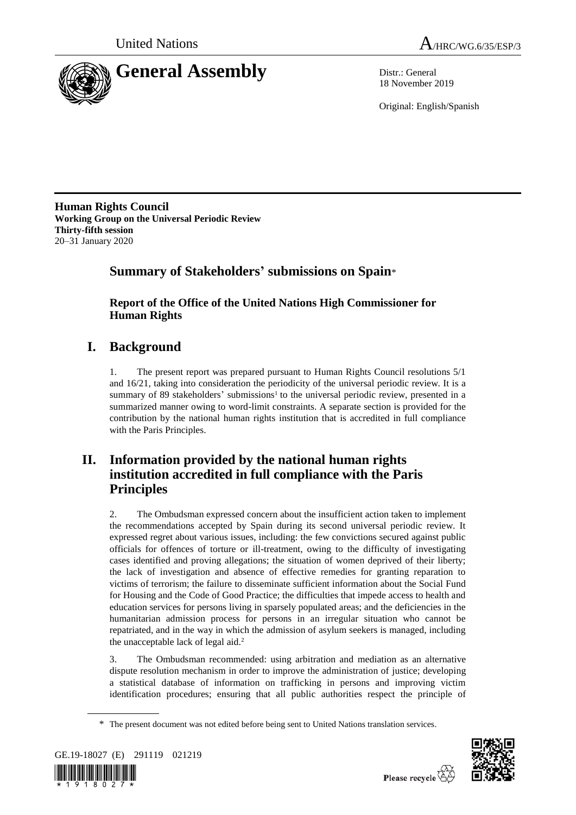



18 November 2019

Original: English/Spanish

**Human Rights Council Working Group on the Universal Periodic Review Thirty-fifth session** 20–31 January 2020

# **Summary of Stakeholders' submissions on Spain**\*

**Report of the Office of the United Nations High Commissioner for Human Rights**

# **I. Background**

1. The present report was prepared pursuant to Human Rights Council resolutions 5/1 and 16/21, taking into consideration the periodicity of the universal periodic review. It is a summary of 89 stakeholders' submissions<sup>1</sup> to the universal periodic review, presented in a summarized manner owing to word-limit constraints. A separate section is provided for the contribution by the national human rights institution that is accredited in full compliance with the Paris Principles.

# **II. Information provided by the national human rights institution accredited in full compliance with the Paris Principles**

2. The Ombudsman expressed concern about the insufficient action taken to implement the recommendations accepted by Spain during its second universal periodic review. It expressed regret about various issues, including: the few convictions secured against public officials for offences of torture or ill-treatment, owing to the difficulty of investigating cases identified and proving allegations; the situation of women deprived of their liberty; the lack of investigation and absence of effective remedies for granting reparation to victims of terrorism; the failure to disseminate sufficient information about the Social Fund for Housing and the Code of Good Practice; the difficulties that impede access to health and education services for persons living in sparsely populated areas; and the deficiencies in the humanitarian admission process for persons in an irregular situation who cannot be repatriated, and in the way in which the admission of asylum seekers is managed, including the unacceptable lack of legal aid.<sup>2</sup>

3. The Ombudsman recommended: using arbitration and mediation as an alternative dispute resolution mechanism in order to improve the administration of justice; developing a statistical database of information on trafficking in persons and improving victim identification procedures; ensuring that all public authorities respect the principle of

<sup>\*</sup> The present document was not edited before being sent to United Nations translation services.



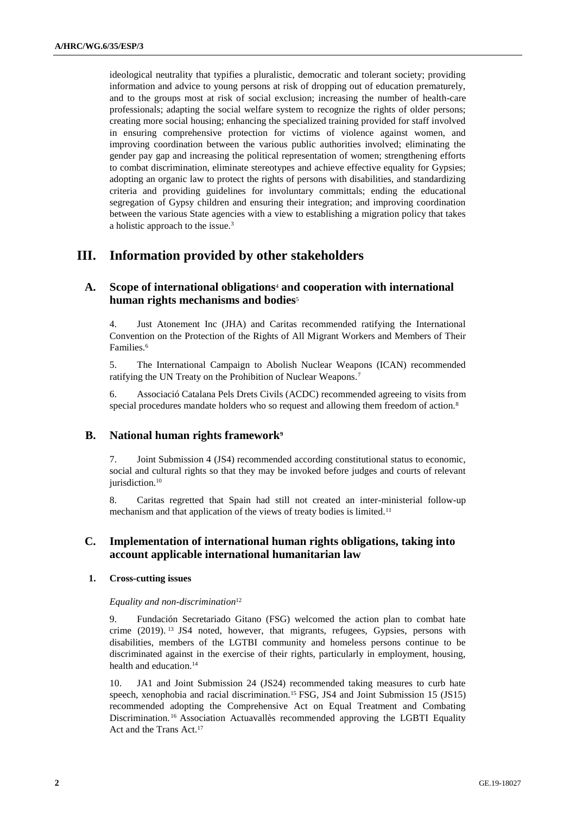ideological neutrality that typifies a pluralistic, democratic and tolerant society; providing information and advice to young persons at risk of dropping out of education prematurely, and to the groups most at risk of social exclusion; increasing the number of health-care professionals; adapting the social welfare system to recognize the rights of older persons; creating more social housing; enhancing the specialized training provided for staff involved in ensuring comprehensive protection for victims of violence against women, and improving coordination between the various public authorities involved; eliminating the gender pay gap and increasing the political representation of women; strengthening efforts to combat discrimination, eliminate stereotypes and achieve effective equality for Gypsies; adopting an organic law to protect the rights of persons with disabilities, and standardizing criteria and providing guidelines for involuntary committals; ending the educational segregation of Gypsy children and ensuring their integration; and improving coordination between the various State agencies with a view to establishing a migration policy that takes a holistic approach to the issue.<sup>3</sup>

# **III. Information provided by other stakeholders**

# **A. Scope of international obligations**<sup>4</sup> **and cooperation with international human rights mechanisms and bodies**<sup>5</sup>

4. Just Atonement Inc (JHA) and Caritas recommended ratifying the International Convention on the Protection of the Rights of All Migrant Workers and Members of Their Families.<sup>6</sup>

5. The International Campaign to Abolish Nuclear Weapons (ICAN) recommended ratifying the UN Treaty on the Prohibition of Nuclear Weapons.<sup>7</sup>

6. Associació Catalana Pels Drets Civils (ACDC) recommended agreeing to visits from special procedures mandate holders who so request and allowing them freedom of action.<sup>8</sup>

## **B. National human rights framework<sup>9</sup>**

7. Joint Submission 4 (JS4) recommended according constitutional status to economic, social and cultural rights so that they may be invoked before judges and courts of relevant jurisdiction.<sup>10</sup>

8. Caritas regretted that Spain had still not created an inter-ministerial follow-up mechanism and that application of the views of treaty bodies is limited.<sup>11</sup>

## **C. Implementation of international human rights obligations, taking into account applicable international humanitarian law**

## **1. Cross-cutting issues**

*Equality and non-discrimination*<sup>12</sup>

9. Fundación Secretariado Gitano (FSG) welcomed the action plan to combat hate crime (2019). <sup>13</sup> JS4 noted, however, that migrants, refugees, Gypsies, persons with disabilities, members of the LGTBI community and homeless persons continue to be discriminated against in the exercise of their rights, particularly in employment, housing, health and education.<sup>14</sup>

10. JA1 and Joint Submission 24 (JS24) recommended taking measures to curb hate speech, xenophobia and racial discrimination.<sup>15</sup> FSG, JS4 and Joint Submission 15 (JS15) recommended adopting the Comprehensive Act on Equal Treatment and Combating Discrimination. <sup>16</sup> Association Actuavallès recommended approving the LGBTI Equality Act and the Trans Act.17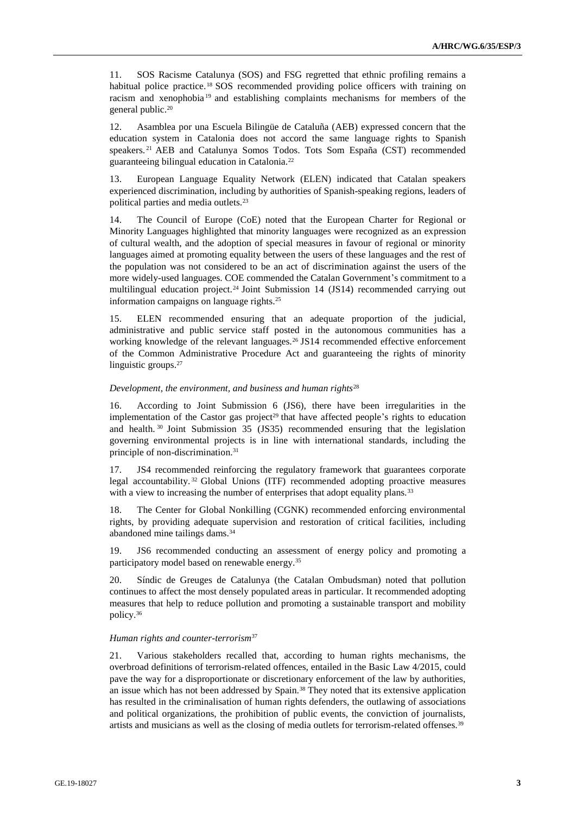11. SOS Racisme Catalunya (SOS) and FSG regretted that ethnic profiling remains a habitual police practice.<sup>18</sup> SOS recommended providing police officers with training on racism and xenophobia <sup>19</sup> and establishing complaints mechanisms for members of the general public.<sup>20</sup>

12. Asamblea por una Escuela Bilingüe de Cataluña (AEB) expressed concern that the education system in Catalonia does not accord the same language rights to Spanish speakers. <sup>21</sup> AEB and Catalunya Somos Todos. Tots Som España (CST) recommended guaranteeing bilingual education in Catalonia.<sup>22</sup>

13. European Language Equality Network (ELEN) indicated that Catalan speakers experienced discrimination, including by authorities of Spanish-speaking regions, leaders of political parties and media outlets.<sup>23</sup>

14. The Council of Europe (CoE) noted that the European Charter for Regional or Minority Languages highlighted that minority languages were recognized as an expression of cultural wealth, and the adoption of special measures in favour of regional or minority languages aimed at promoting equality between the users of these languages and the rest of the population was not considered to be an act of discrimination against the users of the more widely-used languages. COE commended the Catalan Government's commitment to a multilingual education project.<sup>24</sup> Joint Submission 14 (JS14) recommended carrying out information campaigns on language rights.<sup>25</sup>

15. ELEN recommended ensuring that an adequate proportion of the judicial, administrative and public service staff posted in the autonomous communities has a working knowledge of the relevant languages.<sup>26</sup> JS14 recommended effective enforcement of the Common Administrative Procedure Act and guaranteeing the rights of minority linguistic groups.<sup>27</sup>

#### *Development, the environment, and business and human rights*<sup>28</sup>

16. According to Joint Submission 6 (JS6), there have been irregularities in the implementation of the Castor gas project<sup>29</sup> that have affected people's rights to education and health. <sup>30</sup> Joint Submission 35 (JS35) recommended ensuring that the legislation governing environmental projects is in line with international standards, including the principle of non-discrimination.<sup>31</sup>

17. JS4 recommended reinforcing the regulatory framework that guarantees corporate legal accountability. <sup>32</sup> Global Unions (ITF) recommended adopting proactive measures with a view to increasing the number of enterprises that adopt equality plans.<sup>33</sup>

18. The Center for Global Nonkilling (CGNK) recommended enforcing environmental rights, by providing adequate supervision and restoration of critical facilities, including abandoned mine tailings dams.<sup>34</sup>

19. JS6 recommended conducting an assessment of energy policy and promoting a participatory model based on renewable energy.<sup>35</sup>

20. Síndic de Greuges de Catalunya (the Catalan Ombudsman) noted that pollution continues to affect the most densely populated areas in particular. It recommended adopting measures that help to reduce pollution and promoting a sustainable transport and mobility policy.<sup>36</sup>

#### *Human rights and counter-terrorism*<sup>37</sup>

21. Various stakeholders recalled that, according to human rights mechanisms, the overbroad definitions of terrorism-related offences, entailed in the Basic Law 4/2015, could pave the way for a disproportionate or discretionary enforcement of the law by authorities, an issue which has not been addressed by Spain.<sup>38</sup> They noted that its extensive application has resulted in the criminalisation of human rights defenders, the outlawing of associations and political organizations, the prohibition of public events, the conviction of journalists, artists and musicians as well as the closing of media outlets for terrorism-related offenses.<sup>39</sup>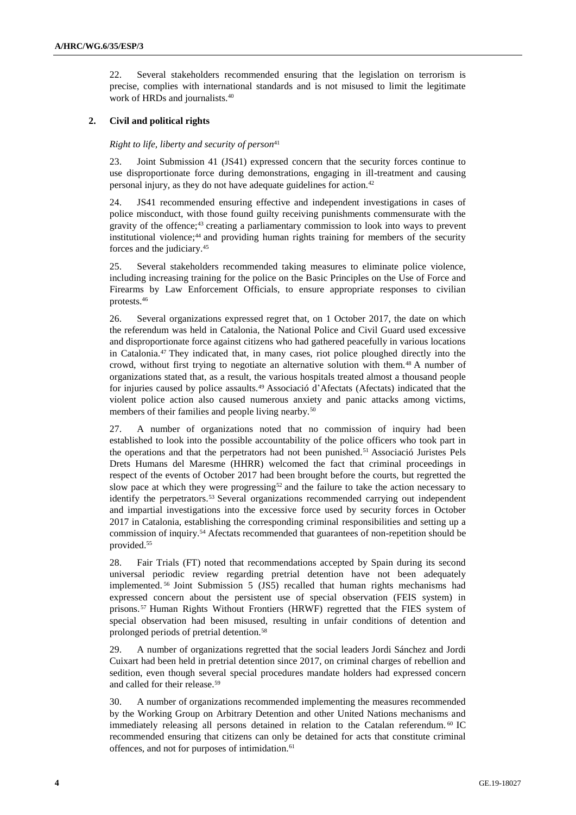22. Several stakeholders recommended ensuring that the legislation on terrorism is precise, complies with international standards and is not misused to limit the legitimate work of HRDs and journalists.<sup>40</sup>

## **2. Civil and political rights**

### *Right to life, liberty and security of person*<sup>41</sup>

23. Joint Submission 41 (JS41) expressed concern that the security forces continue to use disproportionate force during demonstrations, engaging in ill-treatment and causing personal injury, as they do not have adequate guidelines for action.<sup>42</sup>

24. JS41 recommended ensuring effective and independent investigations in cases of police misconduct, with those found guilty receiving punishments commensurate with the gravity of the offence;<sup>43</sup> creating a parliamentary commission to look into ways to prevent institutional violence;<sup>44</sup> and providing human rights training for members of the security forces and the judiciary.<sup>45</sup>

25. Several stakeholders recommended taking measures to eliminate police violence, including increasing training for the police on the Basic Principles on the Use of Force and Firearms by Law Enforcement Officials, to ensure appropriate responses to civilian protests.<sup>46</sup>

26. Several organizations expressed regret that, on 1 October 2017, the date on which the referendum was held in Catalonia, the National Police and Civil Guard used excessive and disproportionate force against citizens who had gathered peacefully in various locations in Catalonia.<sup>47</sup> They indicated that, in many cases, riot police ploughed directly into the crowd, without first trying to negotiate an alternative solution with them.<sup>48</sup> A number of organizations stated that, as a result, the various hospitals treated almost a thousand people for injuries caused by police assaults.<sup>49</sup> Associació d'Afectats (Afectats) indicated that the violent police action also caused numerous anxiety and panic attacks among victims, members of their families and people living nearby.<sup>50</sup>

27. A number of organizations noted that no commission of inquiry had been established to look into the possible accountability of the police officers who took part in the operations and that the perpetrators had not been punished.<sup>51</sup> Associació Juristes Pels Drets Humans del Maresme (HHRR) welcomed the fact that criminal proceedings in respect of the events of October 2017 had been brought before the courts, but regretted the slow pace at which they were progressing<sup>52</sup> and the failure to take the action necessary to identify the perpetrators.<sup>53</sup> Several organizations recommended carrying out independent and impartial investigations into the excessive force used by security forces in October 2017 in Catalonia, establishing the corresponding criminal responsibilities and setting up a commission of inquiry.<sup>54</sup> Afectats recommended that guarantees of non-repetition should be provided.<sup>55</sup>

28. Fair Trials (FT) noted that recommendations accepted by Spain during its second universal periodic review regarding pretrial detention have not been adequately implemented. <sup>56</sup> Joint Submission 5 (JS5) recalled that human rights mechanisms had expressed concern about the persistent use of special observation (FEIS system) in prisons. <sup>57</sup> Human Rights Without Frontiers (HRWF) regretted that the FIES system of special observation had been misused, resulting in unfair conditions of detention and prolonged periods of pretrial detention.<sup>58</sup>

29. A number of organizations regretted that the social leaders Jordi Sánchez and Jordi Cuixart had been held in pretrial detention since 2017, on criminal charges of rebellion and sedition, even though several special procedures mandate holders had expressed concern and called for their release.<sup>59</sup>

30. A number of organizations recommended implementing the measures recommended by the Working Group on Arbitrary Detention and other United Nations mechanisms and immediately releasing all persons detained in relation to the Catalan referendum.<sup>60</sup> IC recommended ensuring that citizens can only be detained for acts that constitute criminal offences, and not for purposes of intimidation.<sup>61</sup>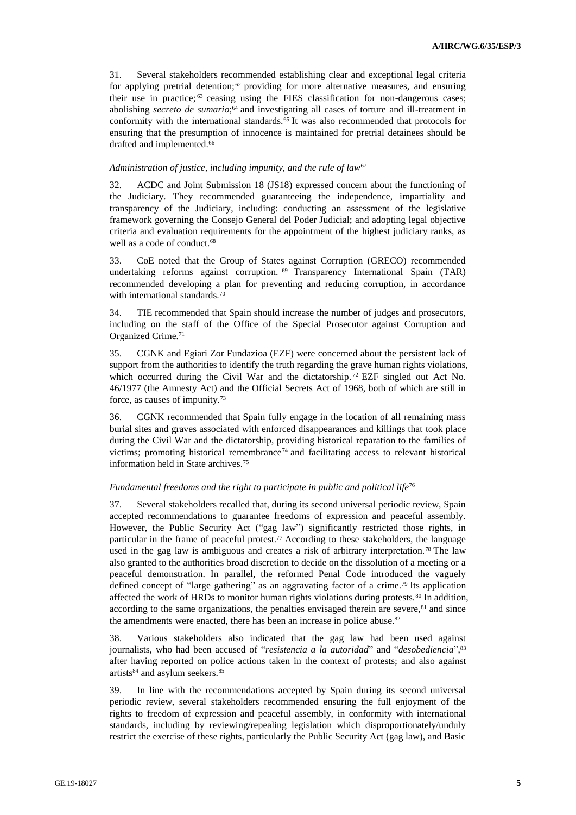31. Several stakeholders recommended establishing clear and exceptional legal criteria for applying pretrial detention;  $62$  providing for more alternative measures, and ensuring their use in practice;<sup>63</sup> ceasing using the FIES classification for non-dangerous cases; abolishing *secreto de sumario*; <sup>64</sup> and investigating all cases of torture and ill-treatment in conformity with the international standards.<sup>65</sup> It was also recommended that protocols for ensuring that the presumption of innocence is maintained for pretrial detainees should be drafted and implemented.<sup>66</sup>

#### *Administration of justice, including impunity, and the rule of law*<sup>67</sup>

32. ACDC and Joint Submission 18 (JS18) expressed concern about the functioning of the Judiciary. They recommended guaranteeing the independence, impartiality and transparency of the Judiciary, including: conducting an assessment of the legislative framework governing the Consejo General del Poder Judicial; and adopting legal objective criteria and evaluation requirements for the appointment of the highest judiciary ranks, as well as a code of conduct.<sup>68</sup>

33. CoE noted that the Group of States against Corruption (GRECO) recommended undertaking reforms against corruption. <sup>69</sup> Transparency International Spain (TAR) recommended developing a plan for preventing and reducing corruption, in accordance with international standards.<sup>70</sup>

34. TIE recommended that Spain should increase the number of judges and prosecutors, including on the staff of the Office of the Special Prosecutor against Corruption and Organized Crime.<sup>71</sup>

35. CGNK and Egiari Zor Fundazioa (EZF) were concerned about the persistent lack of support from the authorities to identify the truth regarding the grave human rights violations, which occurred during the Civil War and the dictatorship.<sup>72</sup> EZF singled out Act No. 46/1977 (the Amnesty Act) and the Official Secrets Act of 1968, both of which are still in force, as causes of impunity.<sup>73</sup>

36. CGNK recommended that Spain fully engage in the location of all remaining mass burial sites and graves associated with enforced disappearances and killings that took place during the Civil War and the dictatorship, providing historical reparation to the families of victims; promoting historical remembrance<sup>74</sup> and facilitating access to relevant historical information held in State archives.<sup>75</sup>

## *Fundamental freedoms and the right to participate in public and political life*<sup>76</sup>

37. Several stakeholders recalled that, during its second universal periodic review, Spain accepted recommendations to guarantee freedoms of expression and peaceful assembly. However, the Public Security Act ("gag law") significantly restricted those rights, in particular in the frame of peaceful protest.<sup>77</sup> According to these stakeholders, the language used in the gag law is ambiguous and creates a risk of arbitrary interpretation.<sup>78</sup> The law also granted to the authorities broad discretion to decide on the dissolution of a meeting or a peaceful demonstration. In parallel, the reformed Penal Code introduced the vaguely defined concept of "large gathering" as an aggravating factor of a crime.<sup>79</sup> Its application affected the work of HRDs to monitor human rights violations during protests.<sup>80</sup> In addition, according to the same organizations, the penalties envisaged therein are severe,<sup>81</sup> and since the amendments were enacted, there has been an increase in police abuse.<sup>82</sup>

38. Various stakeholders also indicated that the gag law had been used against journalists, who had been accused of "*resistencia a la autoridad*" and "*desobediencia*", 83 after having reported on police actions taken in the context of protests; and also against artists<sup>84</sup> and asylum seekers.<sup>85</sup>

39. In line with the recommendations accepted by Spain during its second universal periodic review, several stakeholders recommended ensuring the full enjoyment of the rights to freedom of expression and peaceful assembly, in conformity with international standards, including by reviewing/repealing legislation which disproportionately/unduly restrict the exercise of these rights, particularly the Public Security Act (gag law), and Basic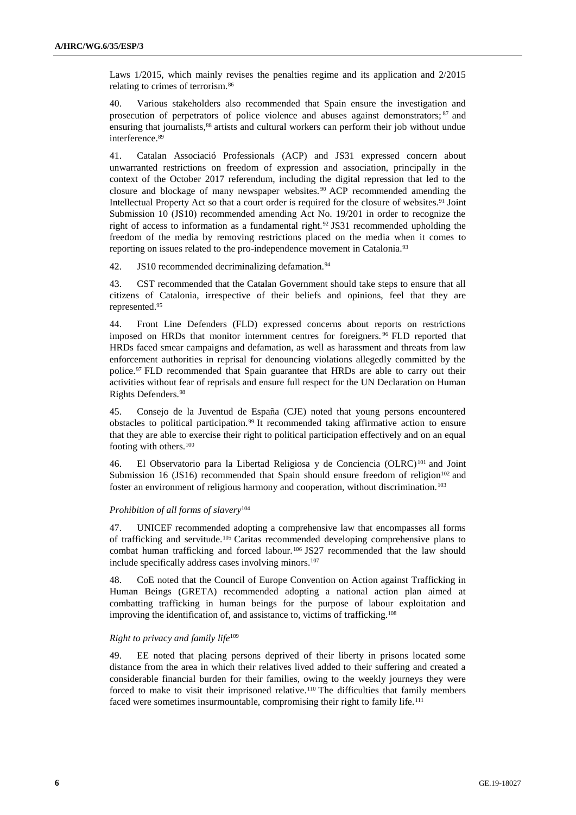Laws 1/2015, which mainly revises the penalties regime and its application and 2/2015 relating to crimes of terrorism.<sup>86</sup>

40. Various stakeholders also recommended that Spain ensure the investigation and prosecution of perpetrators of police violence and abuses against demonstrators; <sup>87</sup> and ensuring that journalists,<sup>88</sup> artists and cultural workers can perform their job without undue interference.<sup>89</sup>

41. Catalan Associació Professionals (ACP) and JS31 expressed concern about unwarranted restrictions on freedom of expression and association, principally in the context of the October 2017 referendum, including the digital repression that led to the closure and blockage of many newspaper websites. <sup>90</sup> ACP recommended amending the Intellectual Property Act so that a court order is required for the closure of websites.<sup>91</sup> Joint Submission 10 (JS10) recommended amending Act No. 19/201 in order to recognize the right of access to information as a fundamental right.<sup>92</sup> JS31 recommended upholding the freedom of the media by removing restrictions placed on the media when it comes to reporting on issues related to the pro-independence movement in Catalonia.<sup>93</sup>

42. JS10 recommended decriminalizing defamation.<sup>94</sup>

43. CST recommended that the Catalan Government should take steps to ensure that all citizens of Catalonia, irrespective of their beliefs and opinions, feel that they are represented.<sup>95</sup>

44. Front Line Defenders (FLD) expressed concerns about reports on restrictions imposed on HRDs that monitor internment centres for foreigners. <sup>96</sup> FLD reported that HRDs faced smear campaigns and defamation, as well as harassment and threats from law enforcement authorities in reprisal for denouncing violations allegedly committed by the police.<sup>97</sup> FLD recommended that Spain guarantee that HRDs are able to carry out their activities without fear of reprisals and ensure full respect for the UN Declaration on Human Rights Defenders.<sup>98</sup>

45. Consejo de la Juventud de España (CJE) noted that young persons encountered obstacles to political participation.<sup>99</sup> It recommended taking affirmative action to ensure that they are able to exercise their right to political participation effectively and on an equal footing with others.<sup>100</sup>

46. El Observatorio para la Libertad Religiosa y de Conciencia (OLRC) <sup>101</sup> and Joint Submission 16 (JS16) recommended that Spain should ensure freedom of religion<sup>102</sup> and foster an environment of religious harmony and cooperation, without discrimination.<sup>103</sup>

## *Prohibition of all forms of slavery*<sup>104</sup>

47. UNICEF recommended adopting a comprehensive law that encompasses all forms of trafficking and servitude.<sup>105</sup> Caritas recommended developing comprehensive plans to combat human trafficking and forced labour.<sup>106</sup> JS27 recommended that the law should include specifically address cases involving minors.<sup>107</sup>

48. CoE noted that the Council of Europe Convention on Action against Trafficking in Human Beings (GRETA) recommended adopting a national action plan aimed at combatting trafficking in human beings for the purpose of labour exploitation and improving the identification of, and assistance to, victims of trafficking.<sup>108</sup>

## *Right to privacy and family life*<sup>109</sup>

49. EE noted that placing persons deprived of their liberty in prisons located some distance from the area in which their relatives lived added to their suffering and created a considerable financial burden for their families, owing to the weekly journeys they were forced to make to visit their imprisoned relative.<sup>110</sup> The difficulties that family members faced were sometimes insurmountable, compromising their right to family life.<sup>111</sup>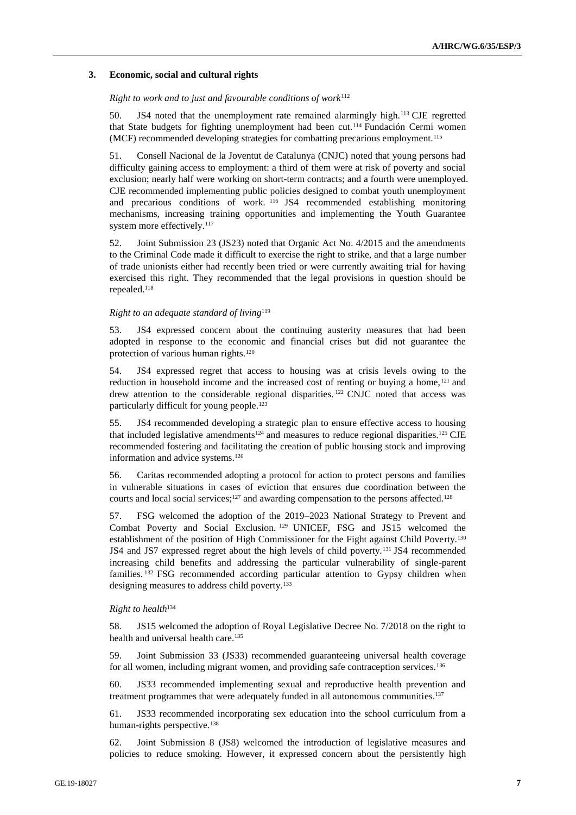#### **3. Economic, social and cultural rights**

#### *Right to work and to just and favourable conditions of work*<sup>112</sup>

50. JS4 noted that the unemployment rate remained alarmingly high.<sup>113</sup> CJE regretted that State budgets for fighting unemployment had been cut.<sup>114</sup> Fundación Cermi women (MCF) recommended developing strategies for combatting precarious employment.<sup>115</sup>

51. Consell Nacional de la Joventut de Catalunya (CNJC) noted that young persons had difficulty gaining access to employment: a third of them were at risk of poverty and social exclusion; nearly half were working on short-term contracts; and a fourth were unemployed. CJE recommended implementing public policies designed to combat youth unemployment and precarious conditions of work. <sup>116</sup> JS4 recommended establishing monitoring mechanisms, increasing training opportunities and implementing the Youth Guarantee system more effectively.<sup>117</sup>

52. Joint Submission 23 (JS23) noted that Organic Act No. 4/2015 and the amendments to the Criminal Code made it difficult to exercise the right to strike, and that a large number of trade unionists either had recently been tried or were currently awaiting trial for having exercised this right. They recommended that the legal provisions in question should be repealed.<sup>118</sup>

#### *Right to an adequate standard of living*<sup>119</sup>

53. JS4 expressed concern about the continuing austerity measures that had been adopted in response to the economic and financial crises but did not guarantee the protection of various human rights.<sup>120</sup>

54. JS4 expressed regret that access to housing was at crisis levels owing to the reduction in household income and the increased cost of renting or buying a home,<sup>121</sup> and drew attention to the considerable regional disparities. <sup>122</sup> CNJC noted that access was particularly difficult for young people.<sup>123</sup>

55. JS4 recommended developing a strategic plan to ensure effective access to housing that included legislative amendments<sup>124</sup> and measures to reduce regional disparities.<sup>125</sup> CJE recommended fostering and facilitating the creation of public housing stock and improving information and advice systems.<sup>126</sup>

56. Caritas recommended adopting a protocol for action to protect persons and families in vulnerable situations in cases of eviction that ensures due coordination between the courts and local social services;<sup>127</sup> and awarding compensation to the persons affected.<sup>128</sup>

57. FSG welcomed the adoption of the 2019–2023 National Strategy to Prevent and Combat Poverty and Social Exclusion. <sup>129</sup> UNICEF, FSG and JS15 welcomed the establishment of the position of High Commissioner for the Fight against Child Poverty.<sup>130</sup> JS4 and JS7 expressed regret about the high levels of child poverty.<sup>131</sup> JS4 recommended increasing child benefits and addressing the particular vulnerability of single-parent families. <sup>132</sup> FSG recommended according particular attention to Gypsy children when designing measures to address child poverty.<sup>133</sup>

#### *Right to health*<sup>134</sup>

58. JS15 welcomed the adoption of Royal Legislative Decree No. 7/2018 on the right to health and universal health care.<sup>135</sup>

59. Joint Submission 33 (JS33) recommended guaranteeing universal health coverage for all women, including migrant women, and providing safe contraception services.<sup>136</sup>

60. JS33 recommended implementing sexual and reproductive health prevention and treatment programmes that were adequately funded in all autonomous communities.<sup>137</sup>

61. JS33 recommended incorporating sex education into the school curriculum from a human-rights perspective.<sup>138</sup>

62. Joint Submission 8 (JS8) welcomed the introduction of legislative measures and policies to reduce smoking. However, it expressed concern about the persistently high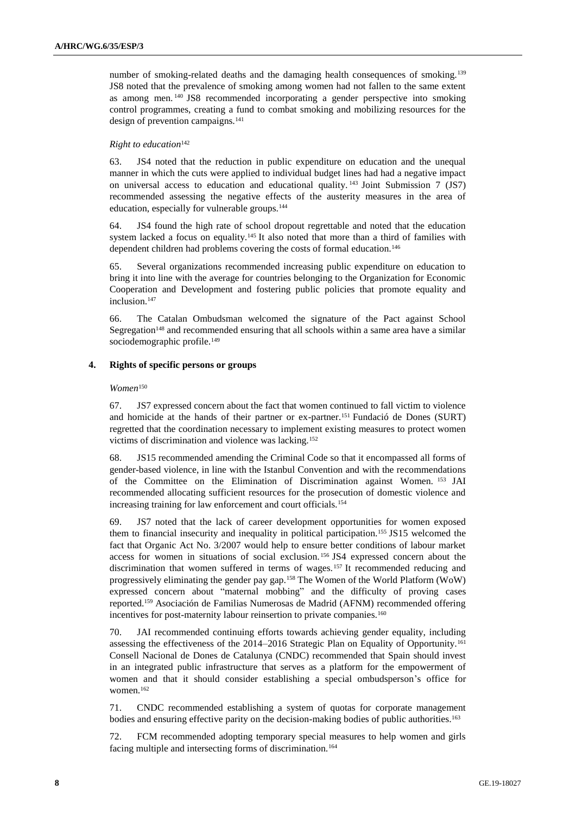number of smoking-related deaths and the damaging health consequences of smoking.<sup>139</sup> JS8 noted that the prevalence of smoking among women had not fallen to the same extent as among men. <sup>140</sup> JS8 recommended incorporating a gender perspective into smoking control programmes, creating a fund to combat smoking and mobilizing resources for the design of prevention campaigns.<sup>141</sup>

### *Right to education*<sup>142</sup>

63. JS4 noted that the reduction in public expenditure on education and the unequal manner in which the cuts were applied to individual budget lines had had a negative impact on universal access to education and educational quality. <sup>143</sup> Joint Submission 7 (JS7) recommended assessing the negative effects of the austerity measures in the area of education, especially for vulnerable groups.<sup>144</sup>

64. JS4 found the high rate of school dropout regrettable and noted that the education system lacked a focus on equality.<sup>145</sup> It also noted that more than a third of families with dependent children had problems covering the costs of formal education.<sup>146</sup>

65. Several organizations recommended increasing public expenditure on education to bring it into line with the average for countries belonging to the Organization for Economic Cooperation and Development and fostering public policies that promote equality and inclusion.<sup>147</sup>

66. The Catalan Ombudsman welcomed the signature of the Pact against School Segregation<sup>148</sup> and recommended ensuring that all schools within a same area have a similar sociodemographic profile.<sup>149</sup>

## **4. Rights of specific persons or groups**

### *Women*<sup>150</sup>

67. JS7 expressed concern about the fact that women continued to fall victim to violence and homicide at the hands of their partner or ex-partner.<sup>151</sup> Fundació de Dones (SURT) regretted that the coordination necessary to implement existing measures to protect women victims of discrimination and violence was lacking.<sup>152</sup>

68. JS15 recommended amending the Criminal Code so that it encompassed all forms of gender-based violence, in line with the Istanbul Convention and with the recommendations of the Committee on the Elimination of Discrimination against Women. <sup>153</sup> JAI recommended allocating sufficient resources for the prosecution of domestic violence and increasing training for law enforcement and court officials.<sup>154</sup>

69. JS7 noted that the lack of career development opportunities for women exposed them to financial insecurity and inequality in political participation.<sup>155</sup> JS15 welcomed the fact that Organic Act No. 3/2007 would help to ensure better conditions of labour market access for women in situations of social exclusion. <sup>156</sup> JS4 expressed concern about the discrimination that women suffered in terms of wages. <sup>157</sup> It recommended reducing and progressively eliminating the gender pay gap.<sup>158</sup> The Women of the World Platform (WoW) expressed concern about "maternal mobbing" and the difficulty of proving cases reported.<sup>159</sup> Asociación de Familias Numerosas de Madrid (AFNM) recommended offering incentives for post-maternity labour reinsertion to private companies.<sup>160</sup>

70. JAI recommended continuing efforts towards achieving gender equality, including assessing the effectiveness of the 2014–2016 Strategic Plan on Equality of Opportunity.<sup>161</sup> Consell Nacional de Dones de Catalunya (CNDC) recommended that Spain should invest in an integrated public infrastructure that serves as a platform for the empowerment of women and that it should consider establishing a special ombudsperson's office for women.<sup>162</sup>

71. CNDC recommended establishing a system of quotas for corporate management bodies and ensuring effective parity on the decision-making bodies of public authorities.<sup>163</sup>

72. FCM recommended adopting temporary special measures to help women and girls facing multiple and intersecting forms of discrimination.<sup>164</sup>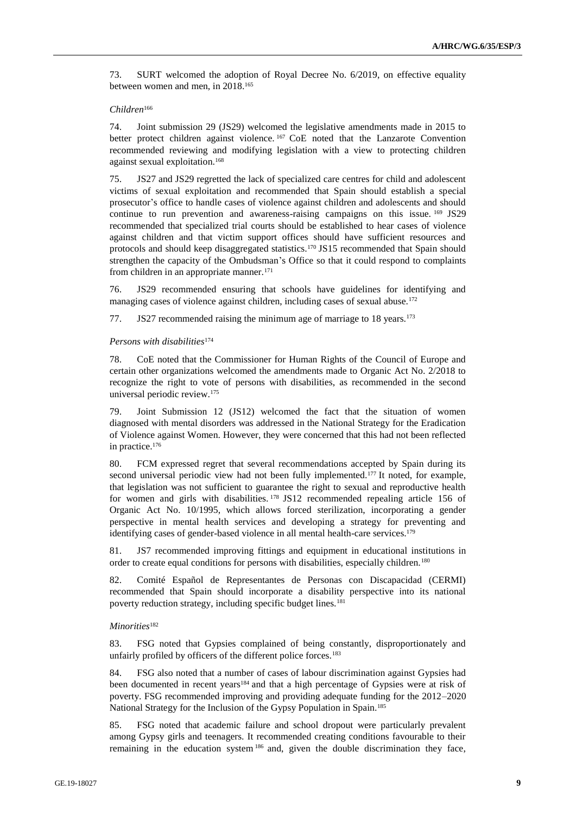73. SURT welcomed the adoption of Royal Decree No. 6/2019, on effective equality between women and men, in 2018.<sup>165</sup>

#### *Children*<sup>166</sup>

74. Joint submission 29 (JS29) welcomed the legislative amendments made in 2015 to better protect children against violence. <sup>167</sup> CoE noted that the Lanzarote Convention recommended reviewing and modifying legislation with a view to protecting children against sexual exploitation.<sup>168</sup>

75. JS27 and JS29 regretted the lack of specialized care centres for child and adolescent victims of sexual exploitation and recommended that Spain should establish a special prosecutor's office to handle cases of violence against children and adolescents and should continue to run prevention and awareness-raising campaigns on this issue. <sup>169</sup> JS29 recommended that specialized trial courts should be established to hear cases of violence against children and that victim support offices should have sufficient resources and protocols and should keep disaggregated statistics.<sup>170</sup> JS15 recommended that Spain should strengthen the capacity of the Ombudsman's Office so that it could respond to complaints from children in an appropriate manner.<sup>171</sup>

76. JS29 recommended ensuring that schools have guidelines for identifying and managing cases of violence against children, including cases of sexual abuse.<sup>172</sup>

77. JS27 recommended raising the minimum age of marriage to 18 years.<sup>173</sup>

## *Persons with disabilities*<sup>174</sup>

78. CoE noted that the Commissioner for Human Rights of the Council of Europe and certain other organizations welcomed the amendments made to Organic Act No. 2/2018 to recognize the right to vote of persons with disabilities, as recommended in the second universal periodic review.<sup>175</sup>

79. Joint Submission 12 (JS12) welcomed the fact that the situation of women diagnosed with mental disorders was addressed in the National Strategy for the Eradication of Violence against Women. However, they were concerned that this had not been reflected in practice.<sup>176</sup>

80. FCM expressed regret that several recommendations accepted by Spain during its second universal periodic view had not been fully implemented.<sup>177</sup> It noted, for example, that legislation was not sufficient to guarantee the right to sexual and reproductive health for women and girls with disabilities. <sup>178</sup> JS12 recommended repealing article 156 of Organic Act No. 10/1995, which allows forced sterilization, incorporating a gender perspective in mental health services and developing a strategy for preventing and identifying cases of gender-based violence in all mental health-care services.<sup>179</sup>

81. JS7 recommended improving fittings and equipment in educational institutions in order to create equal conditions for persons with disabilities, especially children.<sup>180</sup>

82. Comité Español de Representantes de Personas con Discapacidad (CERMI) recommended that Spain should incorporate a disability perspective into its national poverty reduction strategy, including specific budget lines.<sup>181</sup>

#### *Minorities*<sup>182</sup>

83. FSG noted that Gypsies complained of being constantly, disproportionately and unfairly profiled by officers of the different police forces.<sup>183</sup>

84. FSG also noted that a number of cases of labour discrimination against Gypsies had been documented in recent years<sup>184</sup> and that a high percentage of Gypsies were at risk of poverty. FSG recommended improving and providing adequate funding for the 2012–2020 National Strategy for the Inclusion of the Gypsy Population in Spain.<sup>185</sup>

85. FSG noted that academic failure and school dropout were particularly prevalent among Gypsy girls and teenagers. It recommended creating conditions favourable to their remaining in the education system<sup>186</sup> and, given the double discrimination they face,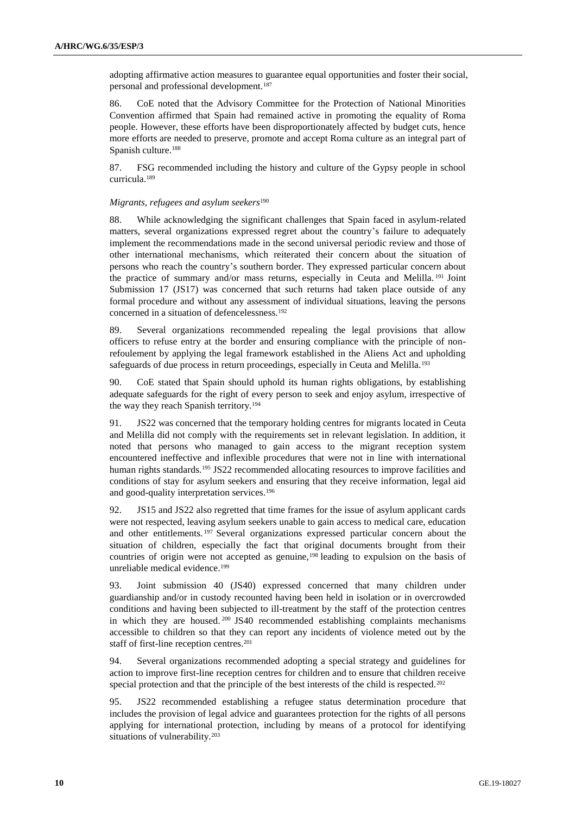adopting affirmative action measures to guarantee equal opportunities and foster their social, personal and professional development.<sup>187</sup>

86. CoE noted that the Advisory Committee for the Protection of National Minorities Convention affirmed that Spain had remained active in promoting the equality of Roma people. However, these efforts have been disproportionately affected by budget cuts, hence more efforts are needed to preserve, promote and accept Roma culture as an integral part of Spanish culture.<sup>188</sup>

87. FSG recommended including the history and culture of the Gypsy people in school curricula.<sup>189</sup>

### *Migrants, refugees and asylum seekers*<sup>190</sup>

88. While acknowledging the significant challenges that Spain faced in asylum-related matters, several organizations expressed regret about the country's failure to adequately implement the recommendations made in the second universal periodic review and those of other international mechanisms, which reiterated their concern about the situation of persons who reach the country's southern border. They expressed particular concern about the practice of summary and/or mass returns, especially in Ceuta and Melilla. <sup>191</sup> Joint Submission 17 (JS17) was concerned that such returns had taken place outside of any formal procedure and without any assessment of individual situations, leaving the persons concerned in a situation of defencelessness.<sup>192</sup>

89. Several organizations recommended repealing the legal provisions that allow officers to refuse entry at the border and ensuring compliance with the principle of nonrefoulement by applying the legal framework established in the Aliens Act and upholding safeguards of due process in return proceedings, especially in Ceuta and Melilla.<sup>193</sup>

90. CoE stated that Spain should uphold its human rights obligations, by establishing adequate safeguards for the right of every person to seek and enjoy asylum, irrespective of the way they reach Spanish territory.<sup>194</sup>

91. JS22 was concerned that the temporary holding centres for migrants located in Ceuta and Melilla did not comply with the requirements set in relevant legislation. In addition, it noted that persons who managed to gain access to the migrant reception system encountered ineffective and inflexible procedures that were not in line with international human rights standards.<sup>195</sup> JS22 recommended allocating resources to improve facilities and conditions of stay for asylum seekers and ensuring that they receive information, legal aid and good-quality interpretation services.<sup>196</sup>

92. JS15 and JS22 also regretted that time frames for the issue of asylum applicant cards were not respected, leaving asylum seekers unable to gain access to medical care, education and other entitlements. <sup>197</sup> Several organizations expressed particular concern about the situation of children, especially the fact that original documents brought from their countries of origin were not accepted as genuine,<sup>198</sup> leading to expulsion on the basis of unreliable medical evidence.<sup>199</sup>

93. Joint submission 40 (JS40) expressed concerned that many children under guardianship and/or in custody recounted having been held in isolation or in overcrowded conditions and having been subjected to ill-treatment by the staff of the protection centres in which they are housed.<sup>200</sup> JS40 recommended establishing complaints mechanisms accessible to children so that they can report any incidents of violence meted out by the staff of first-line reception centres.<sup>201</sup>

94. Several organizations recommended adopting a special strategy and guidelines for action to improve first-line reception centres for children and to ensure that children receive special protection and that the principle of the best interests of the child is respected.<sup>202</sup>

95. JS22 recommended establishing a refugee status determination procedure that includes the provision of legal advice and guarantees protection for the rights of all persons applying for international protection, including by means of a protocol for identifying situations of vulnerability.<sup>203</sup>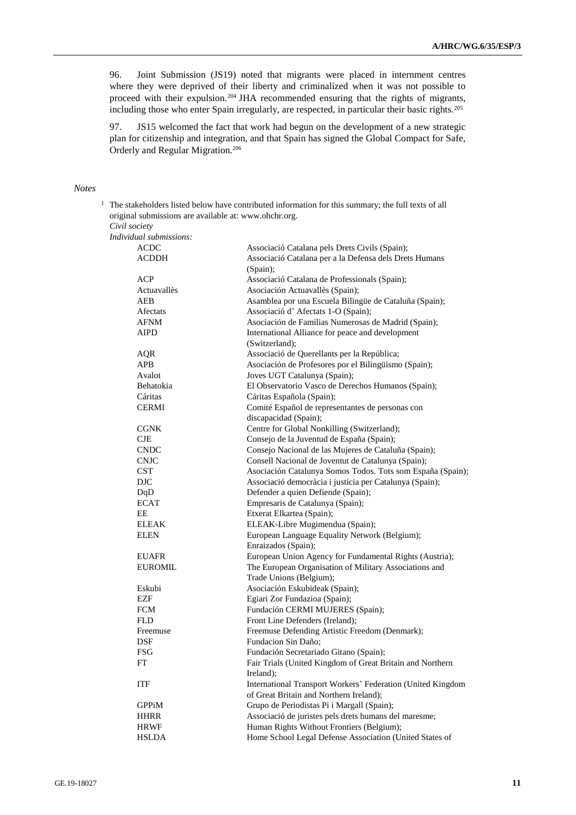96. Joint Submission (JS19) noted that migrants were placed in internment centres where they were deprived of their liberty and criminalized when it was not possible to proceed with their expulsion.<sup>204</sup> JHA recommended ensuring that the rights of migrants, including those who enter Spain irregularly, are respected, in particular their basic rights.<sup>205</sup>

97. JS15 welcomed the fact that work had begun on the development of a new strategic plan for citizenship and integration, and that Spain has signed the Global Compact for Safe, Orderly and Regular Migration.<sup>206</sup>

## *Notes*

<sup>1</sup> The stakeholders listed below have contributed information for this summary; the full texts of all original submissions are available at: [www.ohchr.org.](http://www.ohchr.org/) *Civil society*

*Individual submissions:*

| ACDC                     | Associació Catalana pels Drets Civils (Spain);                                                      |
|--------------------------|-----------------------------------------------------------------------------------------------------|
| <b>ACDDH</b>             | Associació Catalana per a la Defensa dels Drets Humans                                              |
|                          | (Spain);                                                                                            |
| ACP                      | Associació Catalana de Professionals (Spain);                                                       |
| Actuavallès              | Asociación Actuavallès (Spain);                                                                     |
| AEB                      | Asamblea por una Escuela Bilingüe de Cataluña (Spain);                                              |
| Afectats                 | Associació d'Afectats 1-O (Spain);                                                                  |
| <b>AFNM</b>              | Asociación de Familias Numerosas de Madrid (Spain);                                                 |
| <b>AIPD</b>              | International Alliance for peace and development                                                    |
|                          | (Switzerland);                                                                                      |
| AQR                      | Associació de Querellants per la República;                                                         |
| <b>APB</b>               | Asociación de Profesores por el Bilingüismo (Spain);                                                |
| Avalot                   | Joves UGT Catalunya (Spain);                                                                        |
| Behatokia                | El Observatorio Vasco de Derechos Humanos (Spain);                                                  |
| Cáritas                  | Cáritas Española (Spain);                                                                           |
| <b>CERMI</b>             | Comité Español de representantes de personas con                                                    |
|                          | discapacidad (Spain);                                                                               |
| <b>CGNK</b>              | Centre for Global Nonkilling (Switzerland);                                                         |
| <b>CJE</b>               | Consejo de la Juventud de España (Spain);                                                           |
| <b>CNDC</b>              | Consejo Nacional de las Mujeres de Cataluña (Spain);                                                |
| <b>CNJC</b>              | Consell Nacional de Joventut de Catalunya (Spain);                                                  |
| <b>CST</b>               | Asociación Catalunya Somos Todos. Tots som España (Spain);                                          |
| <b>DJC</b>               | Associació democràcia i justicia per Catalunya (Spain);                                             |
| DqD                      | Defender a quien Defiende (Spain);                                                                  |
| <b>ECAT</b>              | Empresaris de Catalunya (Spain);                                                                    |
| EE.                      | Etxerat Elkartea (Spain);                                                                           |
| <b>ELEAK</b>             | ELEAK-Libre Mugimendua (Spain);                                                                     |
| <b>ELEN</b>              | European Language Equality Network (Belgium);                                                       |
|                          | Enraizados (Spain);                                                                                 |
| <b>EUAFR</b>             | European Union Agency for Fundamental Rights (Austria);                                             |
| <b>EUROMIL</b>           | The European Organisation of Military Associations and                                              |
|                          | Trade Unions (Belgium);                                                                             |
| Eskubi                   | Asociación Eskubideak (Spain);                                                                      |
| <b>EZF</b>               | Egiari Zor Fundazioa (Spain);                                                                       |
| <b>FCM</b><br><b>FLD</b> | Fundación CERMI MUJERES (Spain);                                                                    |
|                          | Front Line Defenders (Ireland);<br>Freemuse Defending Artistic Freedom (Denmark);                   |
| Freemuse<br>DSF          | Fundacion Sin Daño;                                                                                 |
| <b>FSG</b>               |                                                                                                     |
| FT                       | Fundación Secretariado Gitano (Spain);<br>Fair Trials (United Kingdom of Great Britain and Northern |
|                          | Ireland);                                                                                           |
| <b>ITF</b>               | International Transport Workers' Federation (United Kingdom                                         |
|                          | of Great Britain and Northern Ireland);                                                             |
| <b>GPPiM</b>             | Grupo de Periodistas Pi i Margall (Spain);                                                          |
| <b>HHRR</b>              | Associació de juristes pels drets humans del maresme;                                               |
| <b>HRWF</b>              | Human Rights Without Frontiers (Belgium);                                                           |
| <b>HSLDA</b>             | Home School Legal Defense Association (United States of                                             |
|                          |                                                                                                     |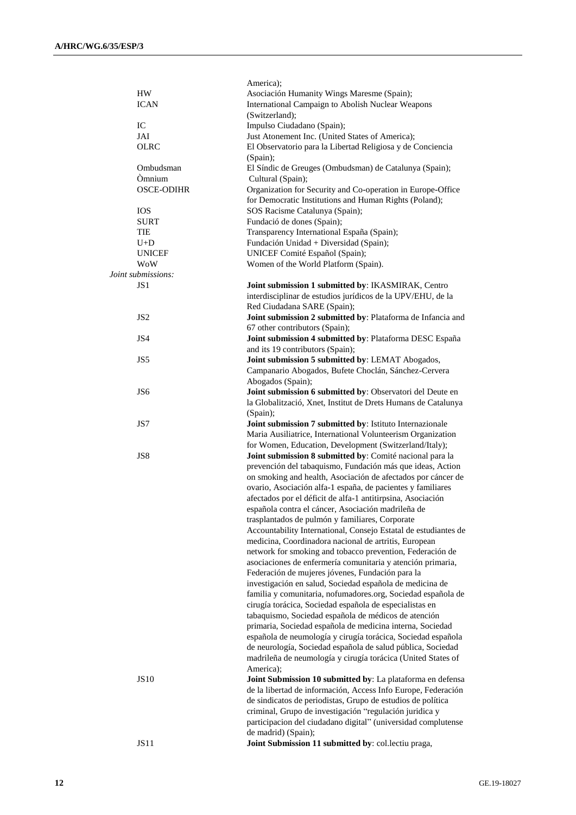|                    | America);                                                                                                               |
|--------------------|-------------------------------------------------------------------------------------------------------------------------|
| HW                 | Asociación Humanity Wings Maresme (Spain);                                                                              |
| <b>ICAN</b>        | International Campaign to Abolish Nuclear Weapons                                                                       |
|                    | (Switzerland);                                                                                                          |
| IC                 | Impulso Ciudadano (Spain);                                                                                              |
| JAI                | Just Atonement Inc. (United States of America);                                                                         |
| <b>OLRC</b>        | El Observatorio para la Libertad Religiosa y de Conciencia                                                              |
|                    | (Spain);                                                                                                                |
| Ombudsman          | El Síndic de Greuges (Ombudsman) de Catalunya (Spain);                                                                  |
| Òmnium             | Cultural (Spain);                                                                                                       |
| <b>OSCE-ODIHR</b>  | Organization for Security and Co-operation in Europe-Office                                                             |
|                    | for Democratic Institutions and Human Rights (Poland);                                                                  |
| <b>IOS</b>         | SOS Racisme Catalunya (Spain);                                                                                          |
| <b>SURT</b>        | Fundació de dones (Spain);                                                                                              |
| <b>TIE</b>         | Transparency International España (Spain);                                                                              |
| $U+D$              | Fundación Unidad + Diversidad (Spain);                                                                                  |
| <b>UNICEF</b>      | UNICEF Comité Español (Spain);                                                                                          |
| WoW                | Women of the World Platform (Spain).                                                                                    |
| Joint submissions: |                                                                                                                         |
| JS <sub>1</sub>    | Joint submission 1 submitted by: IKASMIRAK, Centro                                                                      |
|                    | interdisciplinar de estudios jurídicos de la UPV/EHU, de la                                                             |
|                    | Red Ciudadana SARE (Spain);                                                                                             |
| JS <sub>2</sub>    | Joint submission 2 submitted by: Plataforma de Infancia and                                                             |
|                    | 67 other contributors (Spain);                                                                                          |
| JS4                | Joint submission 4 submitted by: Plataforma DESC España                                                                 |
|                    | and its 19 contributors (Spain);                                                                                        |
| JS5                | Joint submission 5 submitted by: LEMAT Abogados,                                                                        |
|                    | Campanario Abogados, Bufete Choclán, Sánchez-Cervera                                                                    |
|                    | Abogados (Spain);                                                                                                       |
| JS <sub>6</sub>    | Joint submission 6 submitted by: Observatori del Deute en                                                               |
|                    | la Globalització, Xnet, Institut de Drets Humans de Catalunya                                                           |
| JS7                | (Spain);                                                                                                                |
|                    | Joint submission 7 submitted by: Istituto Internazionale<br>Maria Ausiliatrice, International Volunteerism Organization |
|                    | for Women, Education, Development (Switzerland/Italy);                                                                  |
| JS8                | Joint submission 8 submitted by: Comité nacional para la                                                                |
|                    | prevención del tabaquismo, Fundación más que ideas, Action                                                              |
|                    | on smoking and health, Asociación de afectados por cáncer de                                                            |
|                    | ovario, Asociación alfa-1 españa, de pacientes y familiares                                                             |
|                    | afectados por el déficit de alfa-1 antitirpsina, Asociación                                                             |
|                    | española contra el cáncer, Asociación madrileña de                                                                      |
|                    | trasplantados de pulmón y familiares, Corporate                                                                         |
|                    | Accountability International, Consejo Estatal de estudiantes de                                                         |
|                    | medicina, Coordinadora nacional de artritis, European                                                                   |
|                    | network for smoking and tobacco prevention, Federación de                                                               |
|                    | asociaciones de enfermería comunitaria y atención primaria,                                                             |
|                    | Federación de mujeres jóvenes, Fundación para la                                                                        |
|                    | investigación en salud, Sociedad española de medicina de                                                                |
|                    | familia y comunitaria, nofumadores.org, Sociedad española de                                                            |
|                    | cirugía torácica, Sociedad española de especialistas en                                                                 |
|                    | tabaquismo, Sociedad española de médicos de atención                                                                    |
|                    | primaria, Sociedad española de medicina interna, Sociedad                                                               |
|                    | española de neumología y cirugía torácica, Sociedad española                                                            |
|                    | de neurología, Sociedad española de salud pública, Sociedad                                                             |
|                    | madrileña de neumología y cirugía torácica (United States of                                                            |
|                    | America);                                                                                                               |
| <b>JS10</b>        | Joint Submission 10 submitted by: La plataforma en defensa                                                              |
|                    | de la libertad de información, Access Info Europe, Federación                                                           |
|                    | de sindicatos de periodistas, Grupo de estudios de política                                                             |
|                    | criminal, Grupo de investigación "regulación juridica y                                                                 |
|                    | participacion del ciudadano digital" (universidad complutense                                                           |
|                    | de madrid) (Spain);                                                                                                     |
| <b>JS11</b>        | Joint Submission 11 submitted by: col.lectiu praga,                                                                     |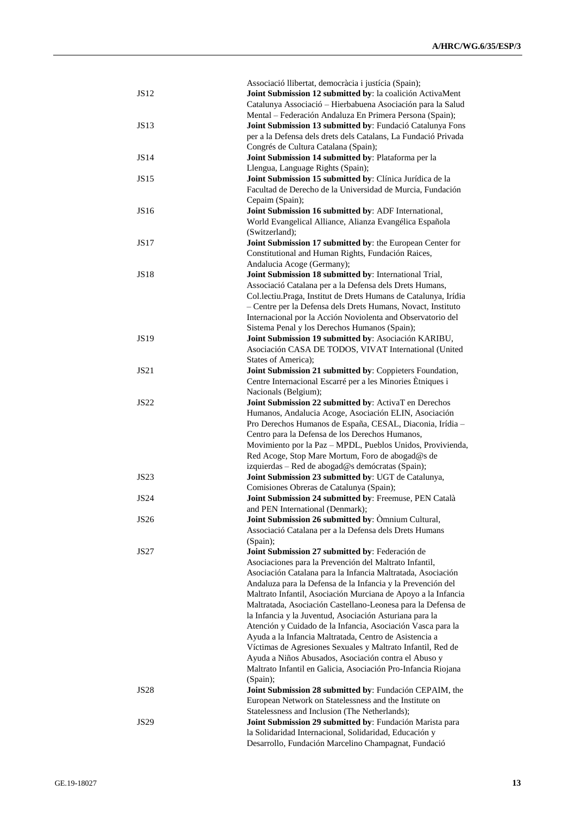|             | Associació llibertat, democràcia i justícia (Spain);            |
|-------------|-----------------------------------------------------------------|
| JS12        | Joint Submission 12 submitted by: la coalición ActivaMent       |
|             | Catalunya Associació - Hierbabuena Asociación para la Salud     |
|             | Mental - Federación Andaluza En Primera Persona (Spain);        |
| JS13        | Joint Submission 13 submitted by: Fundació Catalunya Fons       |
|             | per a la Defensa dels drets dels Catalans, La Fundació Privada  |
|             | Congrés de Cultura Catalana (Spain);                            |
| <b>JS14</b> | Joint Submission 14 submitted by: Plataforma per la             |
|             | Llengua, Language Rights (Spain);                               |
| <b>JS15</b> |                                                                 |
|             | Joint Submission 15 submitted by: Clínica Jurídica de la        |
|             | Facultad de Derecho de la Universidad de Murcia, Fundación      |
|             | Cepaim (Spain);                                                 |
| JS16        | Joint Submission 16 submitted by: ADF International,            |
|             | World Evangelical Alliance, Alianza Evangélica Española         |
|             | (Switzerland);                                                  |
| <b>JS17</b> | Joint Submission 17 submitted by: the European Center for       |
|             | Constitutional and Human Rights, Fundación Raices,              |
|             | Andalucia Acoge (Germany);                                      |
| <b>JS18</b> | Joint Submission 18 submitted by: International Trial,          |
|             | Associació Catalana per a la Defensa dels Drets Humans,         |
|             | Col.lectiu.Praga, Institut de Drets Humans de Catalunya, Irídia |
|             | - Centre per la Defensa dels Drets Humans, Novact, Instituto    |
|             | Internacional por la Acción Noviolenta and Observatorio del     |
|             | Sistema Penal y los Derechos Humanos (Spain);                   |
| <b>JS19</b> | Joint Submission 19 submitted by: Asociación KARIBU,            |
|             | Asociación CASA DE TODOS, VIVAT International (United           |
|             | States of America);                                             |
| <b>JS21</b> | Joint Submission 21 submitted by: Coppieters Foundation,        |
|             | Centre Internacional Escarré per a les Minories Ètniques i      |
|             |                                                                 |
|             | Nacionals (Belgium);                                            |
| <b>JS22</b> | Joint Submission 22 submitted by: ActivaT en Derechos           |
|             | Humanos, Andalucia Acoge, Asociación ELIN, Asociación           |
|             | Pro Derechos Humanos de España, CESAL, Diaconia, Irídia -       |
|             | Centro para la Defensa de los Derechos Humanos,                 |
|             | Movimiento por la Paz - MPDL, Pueblos Unidos, Provivienda,      |
|             | Red Acoge, Stop Mare Mortum, Foro de abogad@s de                |
|             | izquierdas - Red de abogad@s demócratas (Spain);                |
| <b>JS23</b> | Joint Submission 23 submitted by: UGT de Catalunya,             |
|             | Comisiones Obreras de Catalunya (Spain);                        |
| <b>JS24</b> | Joint Submission 24 submitted by: Freemuse, PEN Català          |
|             | and PEN International (Denmark);                                |
| <b>JS26</b> | Joint Submission 26 submitted by: Omnium Cultural,              |
|             | Associació Catalana per a la Defensa dels Drets Humans          |
|             | (Spain);                                                        |
| JS27        | Joint Submission 27 submitted by: Federación de                 |
|             | Asociaciones para la Prevención del Maltrato Infantil,          |
|             | Asociación Catalana para la Infancia Maltratada, Asociación     |
|             | Andaluza para la Defensa de la Infancia y la Prevención del     |
|             | Maltrato Infantil, Asociación Murciana de Apoyo a la Infancia   |
|             |                                                                 |
|             | Maltratada, Asociación Castellano-Leonesa para la Defensa de    |
|             | la Infancia y la Juventud, Asociación Asturiana para la         |
|             | Atención y Cuidado de la Infancia, Asociación Vasca para la     |
|             | Ayuda a la Infancia Maltratada, Centro de Asistencia a          |
|             | Víctimas de Agresiones Sexuales y Maltrato Infantil, Red de     |
|             | Ayuda a Niños Abusados, Asociación contra el Abuso y            |
|             | Maltrato Infantil en Galicia, Asociación Pro-Infancia Riojana   |
|             | (Spain);                                                        |
| <b>JS28</b> | Joint Submission 28 submitted by: Fundación CEPAIM, the         |
|             | European Network on Statelessness and the Institute on          |
|             | Statelessness and Inclusion (The Netherlands);                  |
| <b>JS29</b> | Joint Submission 29 submitted by: Fundación Marista para        |
|             | la Solidaridad Internacional, Solidaridad, Educación y          |
|             | Desarrollo, Fundación Marcelino Champagnat, Fundació            |
|             |                                                                 |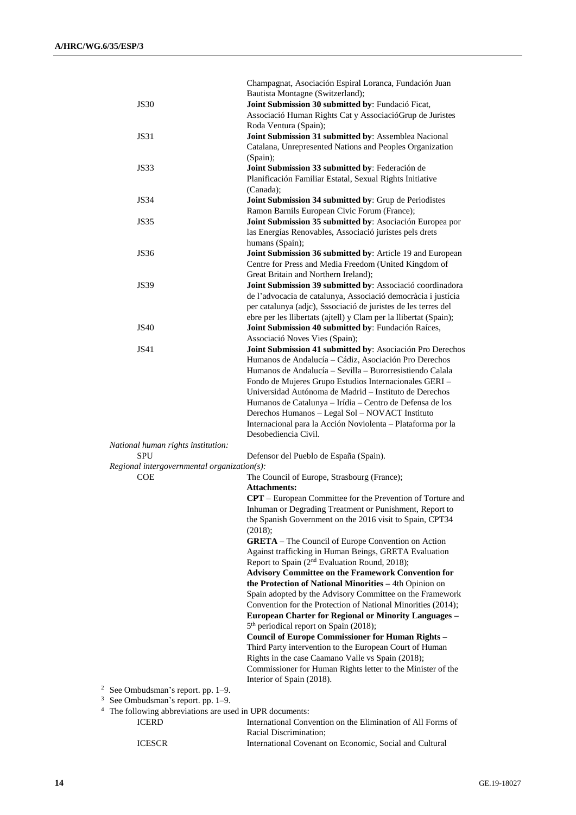|                                                                | Champagnat, Asociación Espiral Loranca, Fundación Juan                                                              |
|----------------------------------------------------------------|---------------------------------------------------------------------------------------------------------------------|
|                                                                | Bautista Montagne (Switzerland);                                                                                    |
| <b>JS30</b>                                                    | Joint Submission 30 submitted by: Fundació Ficat,                                                                   |
|                                                                | Associació Human Rights Cat y Associació Grup de Juristes                                                           |
|                                                                | Roda Ventura (Spain);                                                                                               |
| <b>JS31</b>                                                    | Joint Submission 31 submitted by: Assemblea Nacional                                                                |
|                                                                | Catalana, Unrepresented Nations and Peoples Organization                                                            |
|                                                                | (Spain);                                                                                                            |
| <b>JS33</b>                                                    | Joint Submission 33 submitted by: Federación de                                                                     |
|                                                                | Planificación Familiar Estatal, Sexual Rights Initiative                                                            |
|                                                                | (Canada);                                                                                                           |
| <b>JS34</b>                                                    | Joint Submission 34 submitted by: Grup de Periodistes                                                               |
| <b>JS35</b>                                                    | Ramon Barnils European Civic Forum (France);                                                                        |
|                                                                | Joint Submission 35 submitted by: Asociación Europea por                                                            |
|                                                                | las Energías Renovables, Associació juristes pels drets                                                             |
| <b>JS36</b>                                                    | humans (Spain);<br>Joint Submission 36 submitted by: Article 19 and European                                        |
|                                                                | Centre for Press and Media Freedom (United Kingdom of                                                               |
|                                                                | Great Britain and Northern Ireland);                                                                                |
| <b>JS39</b>                                                    | Joint Submission 39 submitted by: Associació coordinadora                                                           |
|                                                                | de l'advocacia de catalunya, Associació democràcia i justícia                                                       |
|                                                                | per catalunya (adjc), Sssociació de juristes de les terres del                                                      |
|                                                                | ebre per les llibertats (ajtell) y Clam per la llibertat (Spain);                                                   |
| <b>JS40</b>                                                    | Joint Submission 40 submitted by: Fundación Raíces,                                                                 |
|                                                                | Associació Noves Vies (Spain);                                                                                      |
| JS41                                                           | Joint Submission 41 submitted by: Asociación Pro Derechos                                                           |
|                                                                | Humanos de Andalucía - Cádiz, Asociación Pro Derechos                                                               |
|                                                                | Humanos de Andalucía – Sevilla – Burorresistiendo Calala                                                            |
|                                                                | Fondo de Mujeres Grupo Estudios Internacionales GERI-                                                               |
|                                                                | Universidad Autónoma de Madrid - Instituto de Derechos                                                              |
|                                                                | Humanos de Catalunya - Irídia - Centro de Defensa de los                                                            |
|                                                                | Derechos Humanos - Legal Sol - NOVACT Instituto                                                                     |
|                                                                | Internacional para la Acción Noviolenta - Plataforma por la                                                         |
|                                                                | Desobediencia Civil.                                                                                                |
| National human rights institution:                             |                                                                                                                     |
| SPU                                                            | Defensor del Pueblo de España (Spain).                                                                              |
| Regional intergovernmental organization(s):                    |                                                                                                                     |
| <b>COE</b>                                                     | The Council of Europe, Strasbourg (France);                                                                         |
|                                                                | <b>Attachments:</b>                                                                                                 |
|                                                                | <b>CPT</b> – European Committee for the Prevention of Torture and                                                   |
|                                                                | Inhuman or Degrading Treatment or Punishment, Report to                                                             |
|                                                                | the Spanish Government on the 2016 visit to Spain, CPT34                                                            |
|                                                                | (2018);                                                                                                             |
|                                                                | <b>GRETA</b> – The Council of Europe Convention on Action                                                           |
|                                                                | Against trafficking in Human Beings, GRETA Evaluation                                                               |
|                                                                | Report to Spain (2 <sup>nd</sup> Evaluation Round, 2018);                                                           |
|                                                                | <b>Advisory Committee on the Framework Convention for</b><br>the Protection of National Minorities - 4th Opinion on |
|                                                                | Spain adopted by the Advisory Committee on the Framework                                                            |
|                                                                | Convention for the Protection of National Minorities (2014);                                                        |
|                                                                | European Charter for Regional or Minority Languages -                                                               |
|                                                                | 5 <sup>th</sup> periodical report on Spain (2018);                                                                  |
|                                                                | <b>Council of Europe Commissioner for Human Rights -</b>                                                            |
|                                                                | Third Party intervention to the European Court of Human                                                             |
|                                                                | Rights in the case Caamano Valle vs Spain (2018);                                                                   |
|                                                                | Commissioner for Human Rights letter to the Minister of the                                                         |
|                                                                | Interior of Spain (2018).                                                                                           |
| <sup>2</sup> See Ombudsman's report. pp. $1-9$ .               |                                                                                                                     |
| <sup>3</sup> See Ombudsman's report. pp. 1–9.                  |                                                                                                                     |
| $^4$<br>The following abbreviations are used in UPR documents: |                                                                                                                     |
| <b>ICERD</b>                                                   | International Convention on the Elimination of All Forms of                                                         |
|                                                                | Racial Discrimination;                                                                                              |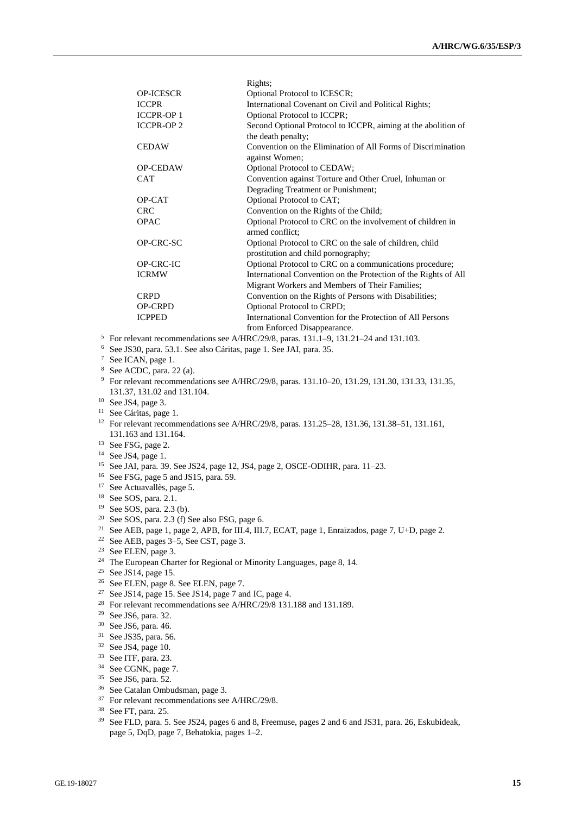|                  | KIghts,                                                         |
|------------------|-----------------------------------------------------------------|
| <b>OP-ICESCR</b> | Optional Protocol to ICESCR;                                    |
| <b>ICCPR</b>     | International Covenant on Civil and Political Rights;           |
| <b>ICCPR-OP1</b> | Optional Protocol to ICCPR;                                     |
| <b>ICCPR-OP2</b> | Second Optional Protocol to ICCPR, aiming at the abolition of   |
|                  | the death penalty;                                              |
| <b>CEDAW</b>     | Convention on the Elimination of All Forms of Discrimination    |
|                  | against Women;                                                  |
| <b>OP-CEDAW</b>  | Optional Protocol to CEDAW;                                     |
| <b>CAT</b>       | Convention against Torture and Other Cruel, Inhuman or          |
|                  | Degrading Treatment or Punishment;                              |
| OP-CAT           | Optional Protocol to CAT;                                       |
| <b>CRC</b>       | Convention on the Rights of the Child;                          |
| <b>OPAC</b>      | Optional Protocol to CRC on the involvement of children in      |
|                  | armed conflict:                                                 |
| OP-CRC-SC        | Optional Protocol to CRC on the sale of children, child         |
|                  | prostitution and child pornography;                             |
| <b>OP-CRC-IC</b> | Optional Protocol to CRC on a communications procedure;         |
| <b>ICRMW</b>     | International Convention on the Protection of the Rights of All |
|                  | Migrant Workers and Members of Their Families;                  |
| <b>CRPD</b>      | Convention on the Rights of Persons with Disabilities;          |
| <b>OP-CRPD</b>   | Optional Protocol to CRPD;                                      |
| <b>ICPPED</b>    | International Convention for the Protection of All Persons      |
|                  | from Enforced Disappearance.                                    |

<sup>5</sup> For relevant recommendations see A/HRC/29/8, paras. 131.1–9, 131.21–24 and 131.103.

 $R_{\text{L}}$ 

- <sup>6</sup> See JS30, para. 53.1. See also Cáritas, page 1. See JAI, para. 35.
- <sup>7</sup> See ICAN, page 1.
- <sup>8</sup> See ACDC, para. 22 (a).
- <sup>9</sup> For relevant recommendations see A/HRC/29/8, paras. 131.10–20, 131.29, 131.30, 131.33, 131.35, 131.37, 131.02 and 131.104.
- $10$  See JS4, page 3.
- <sup>11</sup> See Cáritas, page 1.
- <sup>12</sup> For relevant recommendations see A/HRC/29/8, paras. 131.25–28, 131.36, 131.38–51, 131.161, 131.163 and 131.164.
- <sup>13</sup> See FSG, page 2.
- <sup>14</sup> See JS4, page 1.
- <sup>15</sup> See JAI, para. 39. See JS24, page 12, JS4, page 2, OSCE-ODIHR, para. 11–23.
- <sup>16</sup> See FSG, page 5 and JS15, para. 59.
- <sup>17</sup> See Actuavallès, page 5.
- <sup>18</sup> See SOS, para. 2.1.
- <sup>19</sup> See SOS, para. 2.3 (b).
- $20$  See SOS, para. 2.3 (f) See also FSG, page 6.
- <sup>21</sup> See AEB, page 1, page 2, APB, for III.4, III.7, ECAT, page 1, Enraizados, page 7, U+D, page 2.
- <sup>22</sup> See AEB, pages 3–5, See CST, page 3.
- <sup>23</sup> See ELEN, page 3.
- <sup>24</sup> The European Charter for Regional or Minority Languages, page 8, 14.
- <sup>25</sup> See JS14, page 15.
- <sup>26</sup> See ELEN, page 8. See ELEN, page 7.
- <sup>27</sup> See JS14, page 15. See JS14, page 7 and IC, page 4.
- <sup>28</sup> For relevant recommendations see A/HRC/29/8 131.188 and 131.189.
- <sup>29</sup> See JS6, para. 32.
- <sup>30</sup> See JS6, para. 46.
- <sup>31</sup> See JS35, para. 56.
- <sup>32</sup> See JS4, page 10.
- <sup>33</sup> See ITF, para. 23.
- <sup>34</sup> See CGNK, page 7.
- <sup>35</sup> See JS6, para. 52.
- <sup>36</sup> See Catalan Ombudsman, page 3.
- <sup>37</sup> For relevant recommendations see A/HRC/29/8.
- <sup>38</sup> See FT, para. 25.
- <sup>39</sup> See FLD, para. 5. See JS24, pages 6 and 8, Freemuse, pages 2 and 6 and JS31, para. 26, Eskubideak, page 5, DqD, page 7, Behatokia, pages 1–2.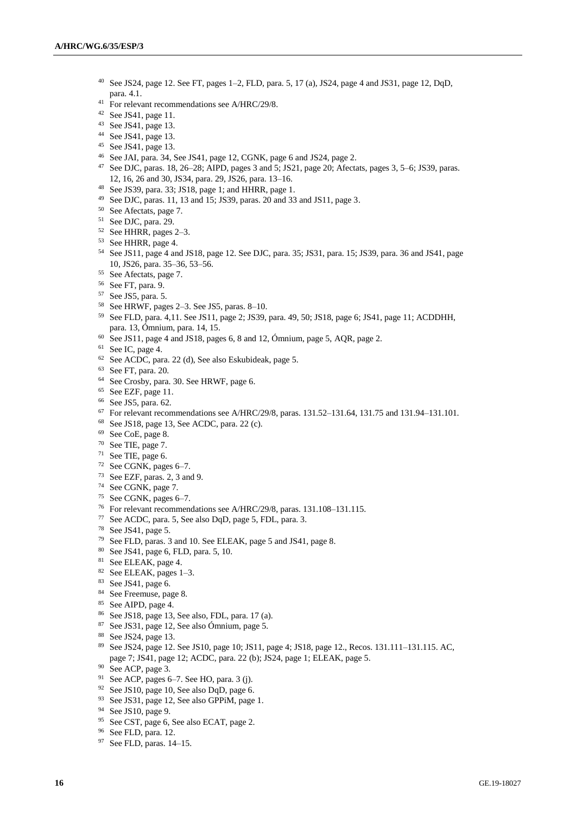- See JS24, page 12. See FT, pages 1–2, FLD, para. 5, 17 (a), JS24, page 4 and JS31, page 12, DqD, para. 4.1.
- <sup>41</sup> For relevant recommendations see A/HRC/29/8.
- See JS41, page 11.
- See JS41, page 13.
- See JS41, page 13.
- See JS41, page 13.
- See JAI, para. 34, See JS41, page 12, CGNK, page 6 and JS24, page 2.
- See DJC, paras. 18, 26–28; AIPD, pages 3 and 5; JS21, page 20; Afectats, pages 3, 5–6; JS39, paras. 12, 16, 26 and 30, JS34, para. 29, JS26, para. 13–16.
- See JS39, para. 33; JS18, page 1; and HHRR, page 1.
- See DJC, paras. 11, 13 and 15; JS39, paras. 20 and 33 and JS11, page 3.
- See Afectats, page 7.
- See DJC, para. 29.
- See HHRR, pages 2–3.
- See HHRR, page 4.
- See JS11, page 4 and JS18, page 12. See DJC, para. 35; JS31, para. 15; JS39, para. 36 and JS41, page 10, JS26, para. 35–36, 53–56.
- See Afectats, page 7.
- See FT, para. 9.
- See JS5, para. 5.
- See HRWF, pages 2–3. See JS5, paras. 8–10.
- See FLD, para. 4,11. See JS11, page 2; JS39, para. 49, 50; JS18, page 6; JS41, page 11; ACDDHH, para. 13, Ómnium, para. 14, 15.
- See JS11, page 4 and JS18, pages 6, 8 and 12, Ómnium, page 5, AQR, page 2.
- See IC, page 4.
- See ACDC, para. 22 (d), See also Eskubideak, page 5.
- See FT, para. 20.
- See Crosby, para. 30. See HRWF, page 6.
- <sup>65</sup> See EZF, page 11.
- See JS5, para. 62.
- For relevant recommendations see A/HRC/29/8, paras. 131.52–131.64, 131.75 and 131.94–131.101.
- See JS18, page 13, See ACDC, para. 22 (c).
- See CoE, page 8.
- See TIE, page 7.
- See TIE, page 6.
- See CGNK, pages 6–7.
- See EZF, paras. 2, 3 and 9.
- See CGNK, page 7.
- See CGNK, pages 6–7.
- For relevant recommendations see A/HRC/29/8, paras. 131.108–131.115.
- See ACDC, para. 5, See also DqD, page 5, FDL, para. 3.
- See JS41, page 5.
- See FLD, paras. 3 and 10. See ELEAK, page 5 and JS41, page 8.
- See JS41, page 6, FLD, para. 5, 10.
- See ELEAK, page 4.
- See ELEAK, pages 1–3.
- See JS41, page 6.
- See Freemuse, page 8.
- See AIPD, page 4.
- See JS18, page 13, See also, FDL, para. 17 (a).
- See JS31, page 12, See also Ómnium, page 5.
- See JS24, page 13.
- See JS24, page 12. See JS10, page 10; JS11, page 4; JS18, page 12., Recos. 131.111–131.115. AC, page 7; JS41, page 12; ACDC, para. 22 (b); JS24, page 1; ELEAK, page 5.
- See ACP, page 3.
- <sup>91</sup> See ACP, pages 6–7. See HO, para. 3 (j).
- See JS10, page 10, See also DqD, page 6.
- See JS31, page 12, See also GPPiM, page 1.
- See JS10, page 9.
- See CST, page 6, See also ECAT, page 2.
- See FLD, para. 12.
- See FLD, paras. 14–15.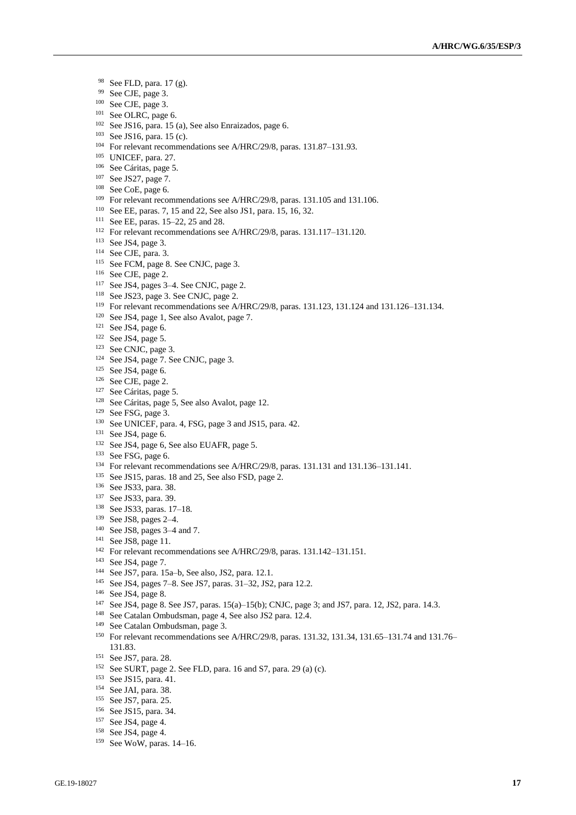- See FLD, para. 17 (g).
- See CJE, page 3.
- See CJE, page 3.
- <sup>101</sup> See OLRC, page 6.
- See JS16, para. 15 (a), See also Enraizados, page 6.
- See JS16, para. 15 (c).
- For relevant recommendations see A/HRC/29/8, paras. 131.87–131.93.
- UNICEF, para. 27.
- See Cáritas, page 5.
- See JS27, page 7.
- See CoE, page 6.
- For relevant recommendations see A/HRC/29/8, paras. 131.105 and 131.106.
- See EE, paras. 7, 15 and 22, See also JS1, para. 15, 16, 32.
- See EE, paras. 15–22, 25 and 28.
- For relevant recommendations see A/HRC/29/8, paras. 131.117–131.120.
- See JS4, page 3.
- See CJE, para. 3.
- See FCM, page 8. See CNJC, page 3.
- See CJE, page 2.
- See JS4, pages 3–4. See CNJC, page 2.
- See JS23, page 3. See CNJC, page 2.
- For relevant recommendations see A/HRC/29/8, paras. 131.123, 131.124 and 131.126–131.134.
- See JS4, page 1, See also Avalot, page 7.
- See JS4, page 6.
- See JS4, page 5.
- See CNJC, page 3.
- See JS4, page 7. See CNJC, page 3.
- See JS4, page 6.
- See CJE, page 2.
- See Cáritas, page 5.
- See Cáritas, page 5, See also Avalot, page 12.
- See FSG, page 3.
- See UNICEF, para. 4, FSG, page 3 and JS15, para. 42.
- <sup>131</sup> See JS4, page 6.
- <sup>132</sup> See JS4, page 6, See also EUAFR, page 5.
- <sup>133</sup> See FSG, page 6.
- For relevant recommendations see A/HRC/29/8, paras. 131.131 and 131.136–131.141.
- See JS15, paras. 18 and 25, See also FSD, page 2.
- See JS33, para. 38.
- See JS33, para. 39.
- See JS33, paras. 17–18.
- See JS8, pages 2–4.
- See JS8, pages 3–4 and 7.
- See JS8, page 11.
- For relevant recommendations see A/HRC/29/8, paras. 131.142–131.151.
- See JS4, page 7.
- See JS7, para. 15a–b, See also, JS2, para. 12.1.
- See JS4, pages 7–8. See JS7, paras. 31–32, JS2, para 12.2.
- See JS4, page 8.
- See JS4, page 8. See JS7, paras. 15(a)–15(b); CNJC, page 3; and JS7, para. 12, JS2, para. 14.3.
- See Catalan Ombudsman, page 4, See also JS2 para. 12.4.
- See Catalan Ombudsman, page 3.
- For relevant recommendations see A/HRC/29/8, paras. 131.32, 131.34, 131.65–131.74 and 131.76– 131.83.
- See JS7, para. 28.
- See SURT, page 2. See FLD, para. 16 and S7, para. 29 (a) (c).
- See JS15, para. 41.
- See JAI, para. 38.
- See JS7, para. 25.
- See JS15, para. 34.
- See JS4, page 4.
- See JS4, page 4.
- See WoW, paras. 14–16.